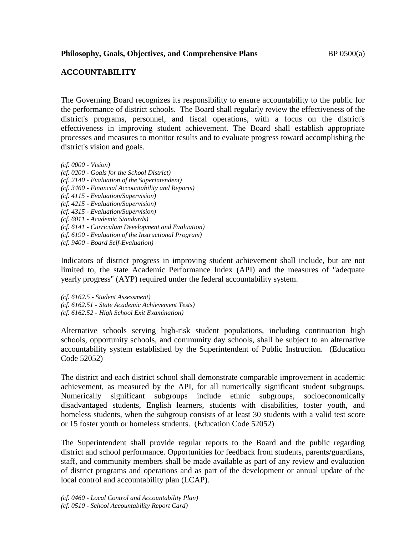## **Philosophy, Goals, Objectives, and Comprehensive Plans** BP 0500(a)

## **ACCOUNTABILITY**

The Governing Board recognizes its responsibility to ensure accountability to the public for the performance of district schools. The Board shall regularly review the effectiveness of the district's programs, personnel, and fiscal operations, with a focus on the district's effectiveness in improving student achievement. The Board shall establish appropriate processes and measures to monitor results and to evaluate progress toward accomplishing the district's vision and goals.

- *(cf. 0000 - Vision)*
- *(cf. 0200 - Goals for the School District)*
- *(cf. 2140 - Evaluation of the Superintendent)*
- *(cf. 3460 - Financial Accountability and Reports)*
- *(cf. 4115 - Evaluation/Supervision)*
- *(cf. 4215 - Evaluation/Supervision)*
- *(cf. 4315 - Evaluation/Supervision)*
- *(cf. 6011 - Academic Standards)*
- *(cf. 6141 - Curriculum Development and Evaluation)*
- *(cf. 6190 - Evaluation of the Instructional Program)*
- *(cf. 9400 - Board Self-Evaluation)*

Indicators of district progress in improving student achievement shall include, but are not limited to, the state Academic Performance Index (API) and the measures of "adequate yearly progress" (AYP) required under the federal accountability system.

*(cf. 6162.5 - Student Assessment) (cf. 6162.51 - State Academic Achievement Tests) (cf. 6162.52 - High School Exit Examination)*

Alternative schools serving high-risk student populations, including continuation high schools, opportunity schools, and community day schools, shall be subject to an alternative accountability system established by the Superintendent of Public Instruction. (Education Code 52052)

The district and each district school shall demonstrate comparable improvement in academic achievement, as measured by the API, for all numerically significant student subgroups. Numerically significant subgroups include ethnic subgroups, socioeconomically disadvantaged students, English learners, students with disabilities, foster youth, and homeless students, when the subgroup consists of at least 30 students with a valid test score or 15 foster youth or homeless students. (Education Code 52052)

The Superintendent shall provide regular reports to the Board and the public regarding district and school performance. Opportunities for feedback from students, parents/guardians, staff, and community members shall be made available as part of any review and evaluation of district programs and operations and as part of the development or annual update of the local control and accountability plan (LCAP).